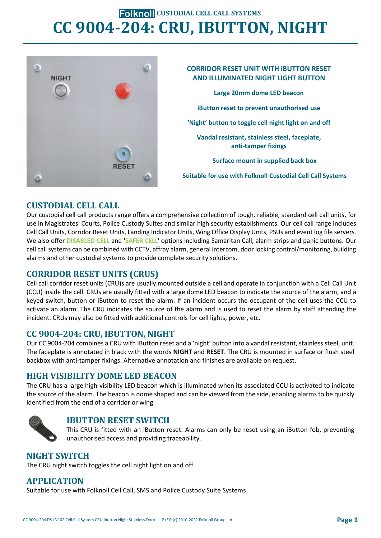# **FOLKNOLL CUSTODIAL CELL CALL SYSTEMS CC 9004-204: CRU, IBUTTON, NIGHT**





## **CUSTODIAL CELL CALL**

Our custodial cell call products range offers a comprehensive collection of tough, reliable, standard cell call units, for use in Magistrates' Courts, Police Custody Suites and similar high security establishments. Our cell call range includes Cell Call Units, Corridor Reset Units, Landing Indicator Units, Wing Office Display Units, PSUs and event log file servers. We also offer **DISABLED CELL** and '**SAFER CELL**' options including Samaritan Call, alarm strips and panic buttons. Our cell call systems can be combined with CCTV, affray alarm, general intercom, door locking control/monitoring, building alarms and other custodial systems to provide complete security solutions.

## **CORRIDOR RESET UNITS (CRUS)**

Cell call corridor reset units (CRU)s are usually mounted outside a cell and operate in conjunction with a Cell Call Unit (CCU) inside the cell. CRUs are usually fitted with a large dome LED beacon to indicate the source of the alarm, and a keyed switch, button or iButton to reset the alarm. If an incident occurs the occupant of the cell uses the CCU to activate an alarm. The CRU indicates the source of the alarm and is used to reset the alarm by staff attending the incident. CRUs may also be fitted with additional controls for cell lights, power, etc.

### **CC 9004-204: CRU, IBUTTON, NIGHT**

Our CC 9004-204 combines a CRU with iButton reset and a 'night' button into a vandal resistant, stainless steel, unit. The faceplate is annotated in black with the words **NIGHT** and **RESET**. The CRU is mounted in surface or flush steel backbox with anti-tamper fixings. Alternative annotation and finishes are available on request.

### **HIGH VISIBILITY DOME LED BEACON**

The CRU has a large high-visibility LED beacon which is illuminated when its associated CCU is activated to indicate the source of the alarm. The beacon is dome shaped and can be viewed from the side, enabling alarms to be quickly identified from the end of a corridor or wing.



### **IBUTTON RESET SWITCH**

This CRU is fitted with an iButton reset. Alarms can only be reset using an iButton fob, preventing unauthorised access and providing traceability.

### **NIGHT SWITCH**

The CRU night switch toggles the cell night light on and off.

### **APPLICATION**

Suitable for use with Folknoll Cell Call, SMS and Police Custody Suite Systems